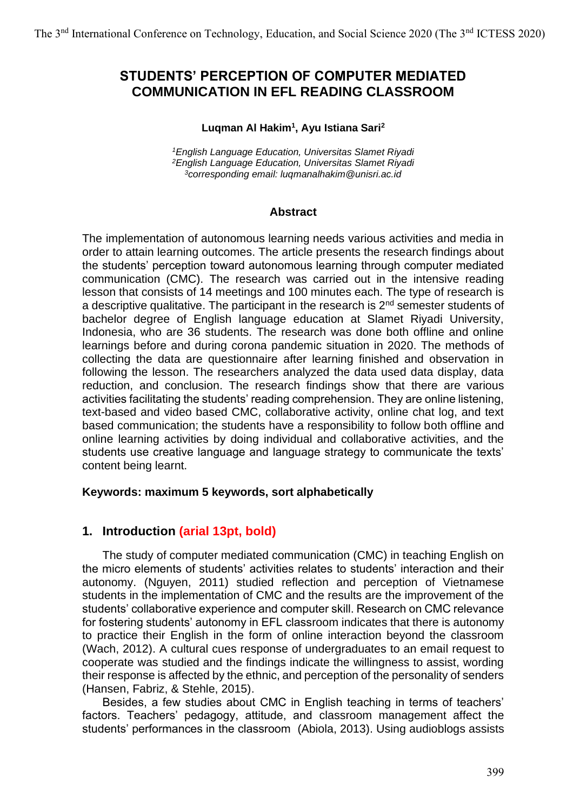# **STUDENTS' PERCEPTION OF COMPUTER MEDIATED COMMUNICATION IN EFL READING CLASSROOM**

#### **Luqman Al Hakim<sup>1</sup> , Ayu Istiana Sari<sup>2</sup>**

*<sup>1</sup>English Language Education, Universitas Slamet Riyadi <sup>2</sup>English Language Education, Universitas Slamet Riyadi <sup>3</sup>corresponding email: luqmanalhakim@unisri.ac.id*

#### **Abstract**

The implementation of autonomous learning needs various activities and media in order to attain learning outcomes. The article presents the research findings about the students' perception toward autonomous learning through computer mediated communication (CMC). The research was carried out in the intensive reading lesson that consists of 14 meetings and 100 minutes each. The type of research is a descriptive qualitative. The participant in the research is  $2<sup>nd</sup>$  semester students of bachelor degree of English language education at Slamet Riyadi University, Indonesia, who are 36 students. The research was done both offline and online learnings before and during corona pandemic situation in 2020. The methods of collecting the data are questionnaire after learning finished and observation in following the lesson. The researchers analyzed the data used data display, data reduction, and conclusion. The research findings show that there are various activities facilitating the students' reading comprehension. They are online listening, text-based and video based CMC, collaborative activity, online chat log, and text based communication; the students have a responsibility to follow both offline and online learning activities by doing individual and collaborative activities, and the students use creative language and language strategy to communicate the texts' content being learnt.

#### **Keywords: maximum 5 keywords, sort alphabetically**

#### **1. Introduction (arial 13pt, bold)**

The study of computer mediated communication (CMC) in teaching English on the micro elements of students' activities relates to students' interaction and their autonomy. (Nguyen, 2011) studied reflection and perception of Vietnamese students in the implementation of CMC and the results are the improvement of the students' collaborative experience and computer skill. Research on CMC relevance for fostering students' autonomy in EFL classroom indicates that there is autonomy to practice their English in the form of online interaction beyond the classroom (Wach, 2012). A cultural cues response of undergraduates to an email request to cooperate was studied and the findings indicate the willingness to assist, wording their response is affected by the ethnic, and perception of the personality of senders (Hansen, Fabriz, & Stehle, 2015).

Besides, a few studies about CMC in English teaching in terms of teachers' factors. Teachers' pedagogy, attitude, and classroom management affect the students' performances in the classroom (Abiola, 2013). Using audioblogs assists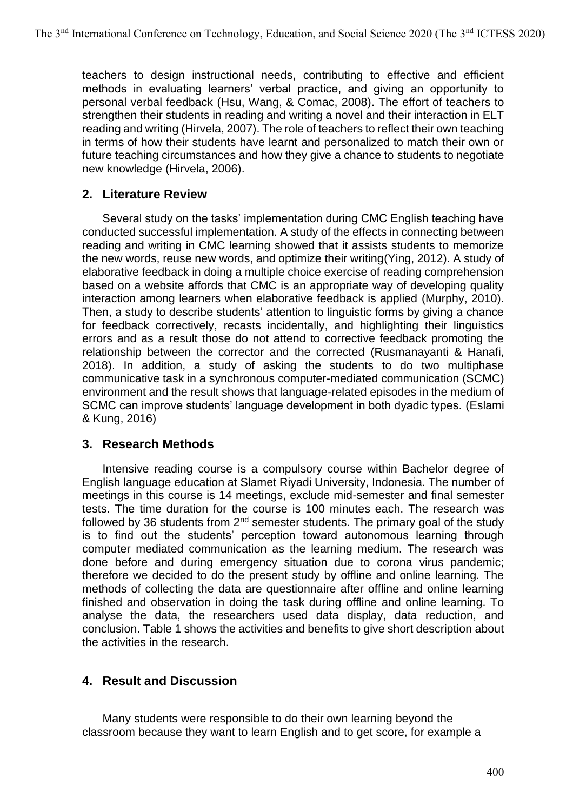teachers to design instructional needs, contributing to effective and efficient methods in evaluating learners' verbal practice, and giving an opportunity to personal verbal feedback (Hsu, Wang, & Comac, 2008). The effort of teachers to strengthen their students in reading and writing a novel and their interaction in ELT reading and writing (Hirvela, 2007). The role of teachers to reflect their own teaching in terms of how their students have learnt and personalized to match their own or future teaching circumstances and how they give a chance to students to negotiate new knowledge (Hirvela, 2006).

## **2. Literature Review**

Several study on the tasks' implementation during CMC English teaching have conducted successful implementation. A study of the effects in connecting between reading and writing in CMC learning showed that it assists students to memorize the new words, reuse new words, and optimize their writing(Ying, 2012). A study of elaborative feedback in doing a multiple choice exercise of reading comprehension based on a website affords that CMC is an appropriate way of developing quality interaction among learners when elaborative feedback is applied (Murphy, 2010). Then, a study to describe students' attention to linguistic forms by giving a chance for feedback correctively, recasts incidentally, and highlighting their linguistics errors and as a result those do not attend to corrective feedback promoting the relationship between the corrector and the corrected (Rusmanayanti & Hanafi, 2018). In addition, a study of asking the students to do two multiphase communicative task in a synchronous computer-mediated communication (SCMC) environment and the result shows that language-related episodes in the medium of SCMC can improve students' language development in both dyadic types. (Eslami & Kung, 2016)

## **3. Research Methods**

Intensive reading course is a compulsory course within Bachelor degree of English language education at Slamet Riyadi University, Indonesia. The number of meetings in this course is 14 meetings, exclude mid-semester and final semester tests. The time duration for the course is 100 minutes each. The research was followed by 36 students from  $2<sup>nd</sup>$  semester students. The primary goal of the study is to find out the students' perception toward autonomous learning through computer mediated communication as the learning medium. The research was done before and during emergency situation due to corona virus pandemic; therefore we decided to do the present study by offline and online learning. The methods of collecting the data are questionnaire after offline and online learning finished and observation in doing the task during offline and online learning. To analyse the data, the researchers used data display, data reduction, and conclusion. Table 1 shows the activities and benefits to give short description about the activities in the research.

## **4. Result and Discussion**

Many students were responsible to do their own learning beyond the classroom because they want to learn English and to get score, for example a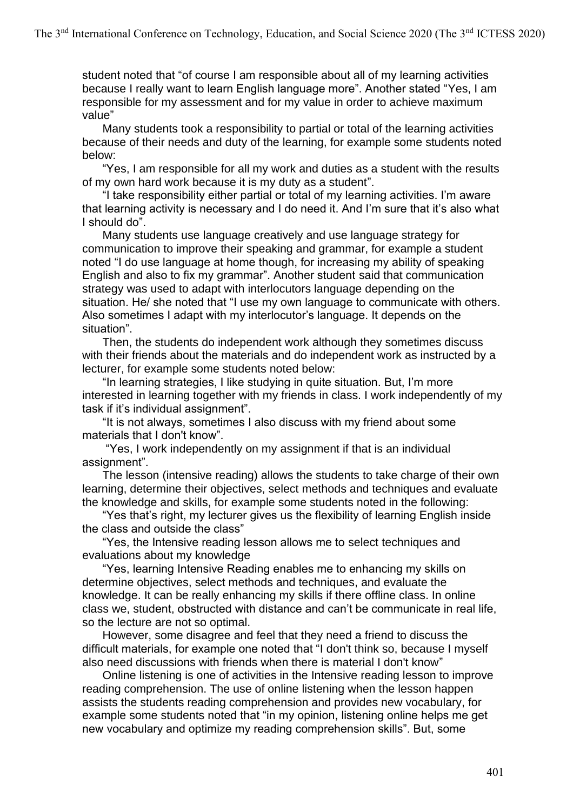student noted that "of course I am responsible about all of my learning activities because I really want to learn English language more". Another stated "Yes, I am responsible for my assessment and for my value in order to achieve maximum value"

Many students took a responsibility to partial or total of the learning activities because of their needs and duty of the learning, for example some students noted below:

"Yes, I am responsible for all my work and duties as a student with the results of my own hard work because it is my duty as a student".

"I take responsibility either partial or total of my learning activities. I'm aware that learning activity is necessary and I do need it. And I'm sure that it's also what I should do".

Many students use language creatively and use language strategy for communication to improve their speaking and grammar, for example a student noted "I do use language at home though, for increasing my ability of speaking English and also to fix my grammar". Another student said that communication strategy was used to adapt with interlocutors language depending on the situation. He/ she noted that "I use my own language to communicate with others. Also sometimes I adapt with my interlocutor's language. It depends on the situation".

Then, the students do independent work although they sometimes discuss with their friends about the materials and do independent work as instructed by a lecturer, for example some students noted below:

"In learning strategies, I like studying in quite situation. But, I'm more interested in learning together with my friends in class. I work independently of my task if it's individual assignment".

"It is not always, sometimes I also discuss with my friend about some materials that I don't know".

"Yes, I work independently on my assignment if that is an individual assignment".

The lesson (intensive reading) allows the students to take charge of their own learning, determine their objectives, select methods and techniques and evaluate the knowledge and skills, for example some students noted in the following:

"Yes that's right, my lecturer gives us the flexibility of learning English inside the class and outside the class"

"Yes, the Intensive reading lesson allows me to select techniques and evaluations about my knowledge

"Yes, learning Intensive Reading enables me to enhancing my skills on determine objectives, select methods and techniques, and evaluate the knowledge. It can be really enhancing my skills if there offline class. In online class we, student, obstructed with distance and can't be communicate in real life, so the lecture are not so optimal.

However, some disagree and feel that they need a friend to discuss the difficult materials, for example one noted that "I don't think so, because I myself also need discussions with friends when there is material I don't know"

Online listening is one of activities in the Intensive reading lesson to improve reading comprehension. The use of online listening when the lesson happen assists the students reading comprehension and provides new vocabulary, for example some students noted that "in my opinion, listening online helps me get new vocabulary and optimize my reading comprehension skills". But, some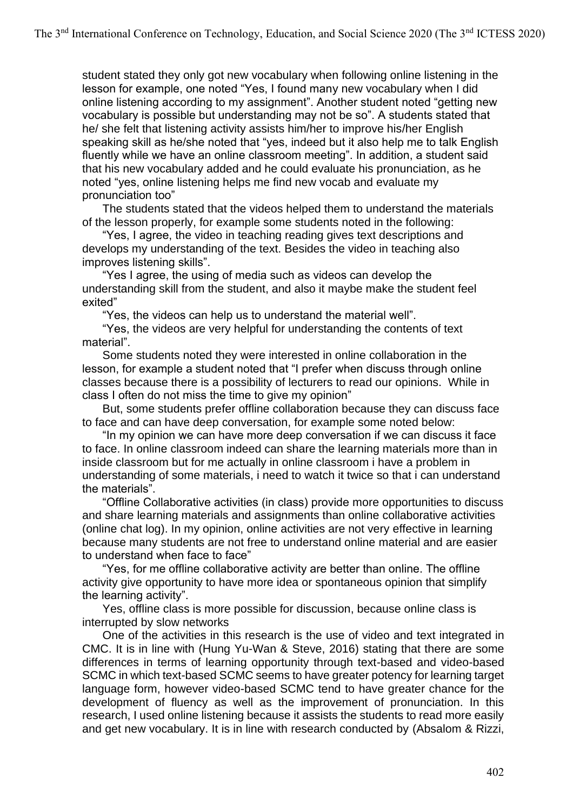student stated they only got new vocabulary when following online listening in the lesson for example, one noted "Yes, I found many new vocabulary when I did online listening according to my assignment". Another student noted "getting new vocabulary is possible but understanding may not be so". A students stated that he/ she felt that listening activity assists him/her to improve his/her English speaking skill as he/she noted that "yes, indeed but it also help me to talk English fluently while we have an online classroom meeting". In addition, a student said that his new vocabulary added and he could evaluate his pronunciation, as he noted "yes, online listening helps me find new vocab and evaluate my pronunciation too"

The students stated that the videos helped them to understand the materials of the lesson properly, for example some students noted in the following:

"Yes, I agree, the video in teaching reading gives text descriptions and develops my understanding of the text. Besides the video in teaching also improves listening skills".

"Yes I agree, the using of media such as videos can develop the understanding skill from the student, and also it maybe make the student feel exited"

"Yes, the videos can help us to understand the material well".

"Yes, the videos are very helpful for understanding the contents of text material".

Some students noted they were interested in online collaboration in the lesson, for example a student noted that "I prefer when discuss through online classes because there is a possibility of lecturers to read our opinions. While in class I often do not miss the time to give my opinion"

But, some students prefer offline collaboration because they can discuss face to face and can have deep conversation, for example some noted below:

"In my opinion we can have more deep conversation if we can discuss it face to face. In online classroom indeed can share the learning materials more than in inside classroom but for me actually in online classroom i have a problem in understanding of some materials, i need to watch it twice so that i can understand the materials".

"Offline Collaborative activities (in class) provide more opportunities to discuss and share learning materials and assignments than online collaborative activities (online chat log). In my opinion, online activities are not very effective in learning because many students are not free to understand online material and are easier to understand when face to face"

"Yes, for me offline collaborative activity are better than online. The offline activity give opportunity to have more idea or spontaneous opinion that simplify the learning activity".

Yes, offline class is more possible for discussion, because online class is interrupted by slow networks

One of the activities in this research is the use of video and text integrated in CMC. It is in line with (Hung Yu-Wan & Steve, 2016) stating that there are some differences in terms of learning opportunity through text-based and video-based SCMC in which text-based SCMC seems to have greater potency for learning target language form, however video-based SCMC tend to have greater chance for the development of fluency as well as the improvement of pronunciation. In this research, I used online listening because it assists the students to read more easily and get new vocabulary. It is in line with research conducted by (Absalom & Rizzi,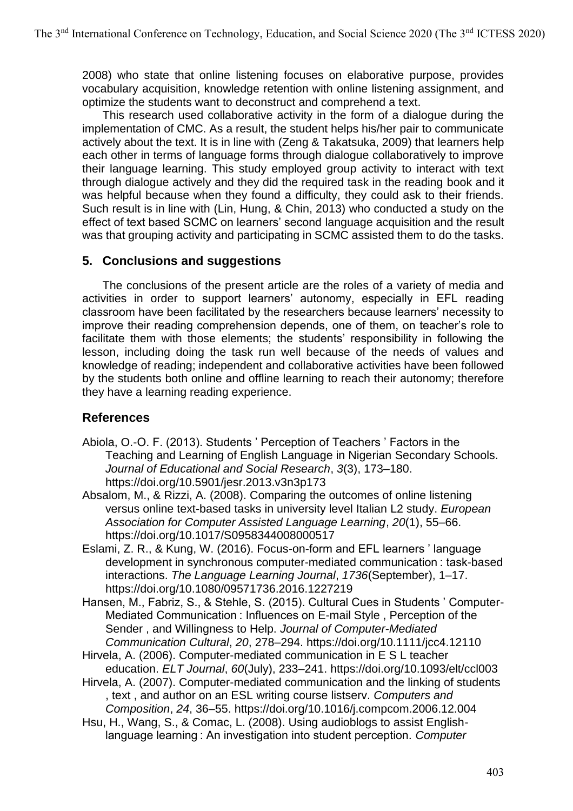2008) who state that online listening focuses on elaborative purpose, provides vocabulary acquisition, knowledge retention with online listening assignment, and optimize the students want to deconstruct and comprehend a text.

This research used collaborative activity in the form of a dialogue during the implementation of CMC. As a result, the student helps his/her pair to communicate actively about the text. It is in line with (Zeng & Takatsuka, 2009) that learners help each other in terms of language forms through dialogue collaboratively to improve their language learning. This study employed group activity to interact with text through dialogue actively and they did the required task in the reading book and it was helpful because when they found a difficulty, they could ask to their friends. Such result is in line with (Lin, Hung, & Chin, 2013) who conducted a study on the effect of text based SCMC on learners' second language acquisition and the result was that grouping activity and participating in SCMC assisted them to do the tasks.

## **5. Conclusions and suggestions**

The conclusions of the present article are the roles of a variety of media and activities in order to support learners' autonomy, especially in EFL reading classroom have been facilitated by the researchers because learners' necessity to improve their reading comprehension depends, one of them, on teacher's role to facilitate them with those elements; the students' responsibility in following the lesson, including doing the task run well because of the needs of values and knowledge of reading; independent and collaborative activities have been followed by the students both online and offline learning to reach their autonomy; therefore they have a learning reading experience.

## **References**

- Abiola, O.-O. F. (2013). Students ' Perception of Teachers ' Factors in the Teaching and Learning of English Language in Nigerian Secondary Schools. *Journal of Educational and Social Research*, *3*(3), 173–180. https://doi.org/10.5901/jesr.2013.v3n3p173
- Absalom, M., & Rizzi, A. (2008). Comparing the outcomes of online listening versus online text-based tasks in university level Italian L2 study. *European Association for Computer Assisted Language Learning*, *20*(1), 55–66. https://doi.org/10.1017/S0958344008000517
- Eslami, Z. R., & Kung, W. (2016). Focus-on-form and EFL learners ' language development in synchronous computer-mediated communication : task-based interactions. *The Language Learning Journal*, *1736*(September), 1–17. https://doi.org/10.1080/09571736.2016.1227219
- Hansen, M., Fabriz, S., & Stehle, S. (2015). Cultural Cues in Students ' Computer-Mediated Communication : Influences on E-mail Style , Perception of the Sender , and Willingness to Help. *Journal of Computer-Mediated Communication Cultural*, *20*, 278–294. https://doi.org/10.1111/jcc4.12110
- Hirvela, A. (2006). Computer-mediated communication in E S L teacher education. *ELT Journal*, *60*(July), 233–241. https://doi.org/10.1093/elt/ccl003
- Hirvela, A. (2007). Computer-mediated communication and the linking of students , text , and author on an ESL writing course listserv. *Computers and Composition*, *24*, 36–55. https://doi.org/10.1016/j.compcom.2006.12.004
- Hsu, H., Wang, S., & Comac, L. (2008). Using audioblogs to assist Englishlanguage learning : An investigation into student perception. *Computer*